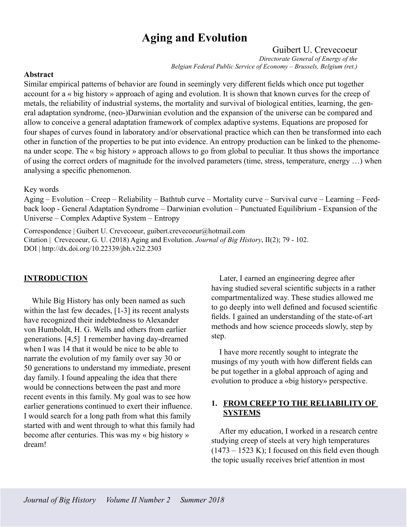## **Aging and Evolution**

## Guibert U. Crevecoeur

*Directorate General of Energy of the Belgian Federal Public Service of Economy – Brussels, Belgium (ret.)*

### **Abstract**

Similar empirical patterns of behavior are found in seemingly very different fields which once put together account for a « big history » approach of aging and evolution. It is shown that known curves for the creep of metals, the reliability of industrial systems, the mortality and survival of biological entities, learning, the general adaptation syndrome, (neo-)Darwinian evolution and the expansion of the universe can be compared and allow to conceive a general adaptation framework of complex adaptive systems. Equations are proposed for four shapes of curves found in laboratory and/or observational practice which can then be transformed into each other in function of the properties to be put into evidence. An entropy production can be linked to the phenomena under scope. The « big history » approach allows to go from global to peculiar. It thus shows the importance of using the correct orders of magnitude for the involved parameters (time, stress, temperature, energy …) when analysing a specific phenomenon.

### Key words

Aging – Evolution – Creep – Reliability – Bathtub curve – Mortality curve – Survival curve – Learning – Feedback loop - General Adaptation Syndrome – Darwinian evolution – Punctuated Equilibrium - Expansion of the Universe – Complex Adaptive System – Entropy

Correspondence | Guibert U. Crevecoeur, guibert.crevecoeur@hotmail.com Citation | Crevecoeur, G. U. (2018) Aging and Evolution. *Journal of Big History*, II(2); 79 - 102. DOI | http://dx.doi.org/10.22339/jbh.v2i2.2303

## **INTRODUCTION**

While Big History has only been named as such within the last few decades, [1-3] its recent analysts have recognized their indebtedness to Alexander von Humboldt, H. G. Wells and others from earlier generations. [4,5] I remember having day-dreamed when I was 14 that it would be nice to be able to narrate the evolution of my family over say 30 or 50 generations to understand my immediate, present day family. I found appealing the idea that there would be connections between the past and more recent events in this family. My goal was to see how earlier generations continued to exert their influence. I would search for a long path from what this family started with and went through to what this family had become after centuries. This was my « big history » dream!

Later, I earned an engineering degree after having studied several scientific subjects in a rather compartmentalized way. These studies allowed me to go deeply into well defined and focused scientific fields. I gained an understanding of the state-of-art methods and how science proceeds slowly, step by step.

I have more recently sought to integrate the musings of my youth with how different fields can be put together in a global approach of aging and evolution to produce a «big history» perspective.

## **1. FROM CREEP TO THE RELIABILITY OF SYSTEMS**

After my education, I worked in a research centre studying creep of steels at very high temperatures  $(1473 - 1523 \text{ K})$ ; I focused on this field even though the topic usually receives brief attention in most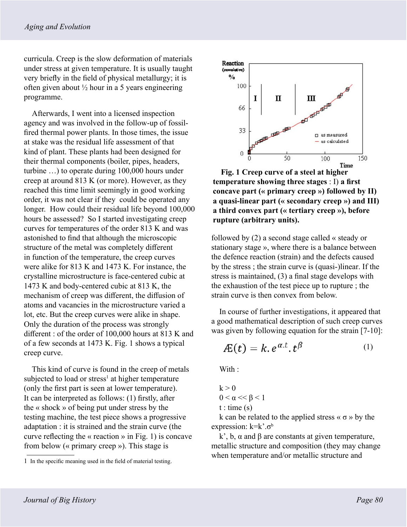curricula. Creep is the slow deformation of materials under stress at given temperature. It is usually taught very briefly in the field of physical metallurgy; it is often given about  $\frac{1}{2}$  hour in a 5 years engineering programme.

Afterwards, I went into a licensed inspection agency and was involved in the follow-up of fossilfired thermal power plants. In those times, the issue at stake was the residual life assessment of that kind of plant. These plants had been designed for their thermal components (boiler, pipes, headers, turbine …) to operate during 100,000 hours under creep at around 813 K (or more). However, as they reached this time limit seemingly in good working order, it was not clear if they could be operated any longer. How could their residual life beyond 100,000 hours be assessed? So I started investigating creep curves for temperatures of the order 813 K and was astonished to find that although the microscopic structure of the metal was completely different in function of the temperature, the creep curves were alike for 813 K and 1473 K. For instance, the crystalline microstructure is face-centered cubic at 1473 K and body-centered cubic at 813 K, the mechanism of creep was different, the diffusion of atoms and vacancies in the microstructure varied a lot, etc. But the creep curves were alike in shape. Only the duration of the process was strongly different : of the order of 100,000 hours at 813 K and of a few seconds at 1473 K. Fig. 1 shows a typical creep curve.

This kind of curve is found in the creep of metals subjected to load or stress<sup>1</sup> at higher temperature (only the first part is seen at lower temperature). It can be interpreted as follows: (1) firstly, after the « shock » of being put under stress by the testing machine, the test piece shows a progressive adaptation : it is strained and the strain curve (the curve reflecting the « reaction » in Fig. 1) is concave from below (« primary creep »). This stage is



**Fig. 1 Creep curve of a steel at higher temperature showing three stages** : I) **a first concave part (« primary creep ») followed by II) a quasi-linear part (« secondary creep ») and III) a third convex part (« tertiary creep »), before rupture (arbitrary units).**

followed by (2) a second stage called « steady or stationary stage », where there is a balance between the defence reaction (strain) and the defects caused by the stress ; the strain curve is (quasi-)linear. If the stress is maintained, (3) a final stage develops with the exhaustion of the test piece up to rupture ; the strain curve is then convex from below.

In course of further investigations, it appeared that a good mathematical description of such creep curves was given by following equation for the strain [7-10]:

$$
A\!E(t) = k \cdot e^{\alpha \cdot t} \cdot t^{\beta} \tag{1}
$$

With :

$$
k > 0
$$
  
0 <  $\alpha$  <<  $\beta$  < 1  
t : time (s)

k can be related to the applied stress  $\langle \sigma \rangle$  by the expression:  $k=k^{\prime}.\sigma^b$ 

k', b,  $\alpha$  and  $\beta$  are constants at given temperature, metallic structure and composition (they may change when temperature and/or metallic structure and

<sup>1</sup> In the specific meaning used in the field of material testing.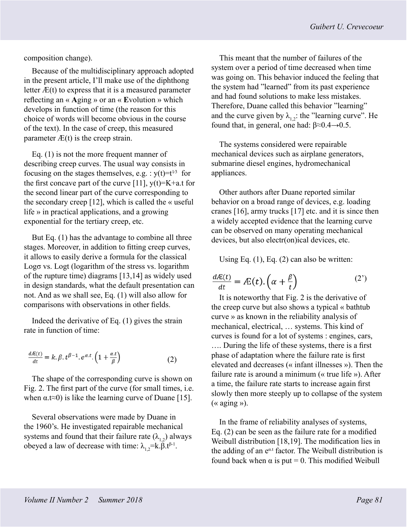composition change).

Because of the multidisciplinary approach adopted in the present article, I'll make use of the diphthong letter  $E(t)$  to express that it is a measured parameter reflecting an « **A**ging » or an « **E**volution » which develops in function of time (the reason for this choice of words will become obvious in the course of the text). In the case of creep, this measured parameter  $\mathcal{F}(t)$  is the creep strain.

Eq. (1) is not the more frequent manner of describing creep curves. The usual way consists in focusing on the stages themselves, e.g. :  $y(t)=t^{1/3}$  for the first concave part of the curve [11],  $y(t)=K+a$ .t for the second linear part of the curve corresponding to the secondary creep [12], which is called the « useful life » in practical applications, and a growing exponential for the tertiary creep, etc.

But Eq. (1) has the advantage to combine all three stages. Moreover, in addition to fitting creep curves, it allows to easily derive a formula for the classical Logσ vs. Logt (logarithm of the stress vs. logarithm of the rupture time) diagrams [13,14] as widely used in design standards, what the default presentation can not. And as we shall see, Eq. (1) will also allow for comparisons with observations in other fields.

Indeed the derivative of Eq. (1) gives the strain rate in function of time:

$$
\frac{d\mathcal{L}(t)}{dt} = k \cdot \beta \cdot t^{\beta - 1} \cdot e^{\alpha \cdot t} \cdot \left( 1 + \frac{\alpha \cdot t}{\beta} \right) \tag{2}
$$

The shape of the corresponding curve is shown on Fig. 2. The first part of the curve (for small times, i.e. when  $\alpha$ .t≈0) is like the learning curve of Duane [15].

Several observations were made by Duane in the 1960's. He investigated repairable mechanical systems and found that their failure rate  $(\lambda_{1,2})$  always obeyed a law of decrease with time:  $\lambda_1^2 = k \cdot \beta \cdot t^{\beta-1}$ .

This meant that the number of failures of the system over a period of time decreased when time was going on. This behavior induced the feeling that the system had "learned" from its past experience and had found solutions to make less mistakes. Therefore, Duane called this behavior "learning" and the curve given by  $\lambda_{12}$ : the "learning curve". He found that, in general, one had:  $\beta \approx 0.4 \rightarrow 0.5$ .

The systems considered were repairable mechanical devices such as airplane generators, submarine diesel engines, hydromechanical appliances.

Other authors after Duane reported similar behavior on a broad range of devices, e.g. loading cranes [16], army trucks [17] etc. and it is since then a widely accepted evidence that the learning curve can be observed on many operating mechanical devices, but also electr(on)ical devices, etc.

Using Eq. (1), Eq. (2) can also be written:

$$
\frac{d\mathcal{A}(t)}{dt} = \mathcal{A}(t) \cdot \left(\alpha + \frac{\beta}{t}\right) \tag{2'}
$$

It is noteworthy that Fig. 2 is the derivative of the creep curve but also shows a typical « bathtub curve » as known in the reliability analysis of mechanical, electrical, … systems. This kind of curves is found for a lot of systems : engines, cars, …. During the life of these systems, there is a first phase of adaptation where the failure rate is first elevated and decreases (« infant illnesses »). Then the failure rate is around a minimum (« true life »). After a time, the failure rate starts to increase again first slowly then more steeply up to collapse of the system  $(\text{« aging } \text{»})$ .

In the frame of reliability analyses of systems, Eq. (2) can be seen as the failure rate for a modified Weibull distribution [18,19]. The modification lies in the adding of an  $e^{\alpha t}$  factor. The Weibull distribution is found back when  $\alpha$  is put = 0. This modified Weibull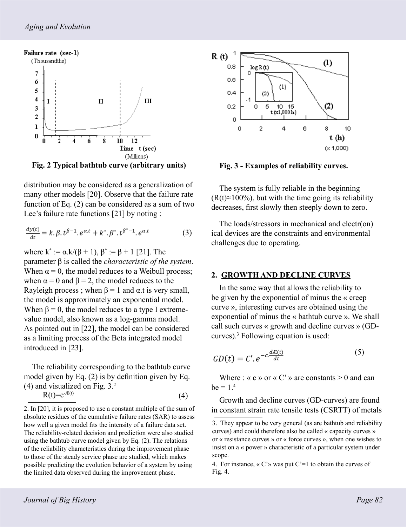

**Fig. 2 Typical bathtub curve (arbitrary units)**

distribution may be considered as a generalization of many other models [20]. Observe that the failure rate function of Eq. (2) can be considered as a sum of two Lee's failure rate functions [21] by noting :

$$
\frac{dy(t)}{dt} = k \cdot \beta \cdot t^{\beta - 1} \cdot e^{\alpha \cdot t} + k^* \cdot \beta^* \cdot t^{\beta^* - 1} \cdot e^{\alpha \cdot t} \tag{3}
$$

where  $k^* := \alpha.k/(\beta + 1), \beta^* := \beta + 1$  [21]. The parameter β is called the *characteristic of the system*. When  $\alpha = 0$ , the model reduces to a Weibull process; when  $\alpha = 0$  and  $\beta = 2$ , the model reduces to the Rayleigh process; when  $\beta = 1$  and  $\alpha$  t is very small, the model is approximately an exponential model. When  $\beta = 0$ , the model reduces to a type I extremevalue model, also known as a log-gamma model. As pointed out in [22], the model can be considered as a limiting process of the Beta integrated model introduced in [23].

The reliability corresponding to the bathtub curve model given by Eq. (2) is by definition given by Eq. (4) and visualized on Fig. 3.2

$$
R(t)=e^{-E(t)}\tag{4}
$$

2. In [20], it is proposed to use a constant multiple of the sum of absolute residues of the cumulative failure rates (SAR) to assess how well a given model fits the intensity of a failure data set. The reliability-related decision and prediction were also studied using the bathtub curve model given by Eq. (2). The relations of the reliability characteristics during the improvement phase to those of the steady service phase are studied, which makes possible predicting the evolution behavior of a system by using the limited data observed during the improvement phase.



**Fig. 3 - Examples of reliability curves.**

The system is fully reliable in the beginning  $(R(t) \approx 100\%)$ , but with the time going its reliability decreases, first slowly then steeply down to zero.

The loads/stressors in mechanical and electr(on) ical devices are the constraints and environmental challenges due to operating.

### **2. GROWTH AND DECLINE CURVES**

In the same way that allows the reliability to be given by the exponential of minus the « creep curve », interesting curves are obtained using the exponential of minus the « bathtub curve ». We shall call such curves « growth and decline curves » (GDcurves).3 Following equation is used:

$$
GD(t) = C'.e^{-c.\frac{dE(t)}{dt}} \tag{5}
$$

Where : « c » or « C' » are constants  $> 0$  and can  $be = 1<sup>4</sup>$ 

Growth and decline curves (GD-curves) are found in constant strain rate tensile tests (CSRTT) of metals

<sup>3.</sup> They appear to be very general (as are bathtub and reliability curves) and could therefore also be called « capacity curves » or « resistance curves » or « force curves », when one wishes to insist on a « power » characteristic of a particular system under scope.

<sup>4.</sup> For instance,  $\langle C \rangle$  was put C'=1 to obtain the curves of Fig. 4.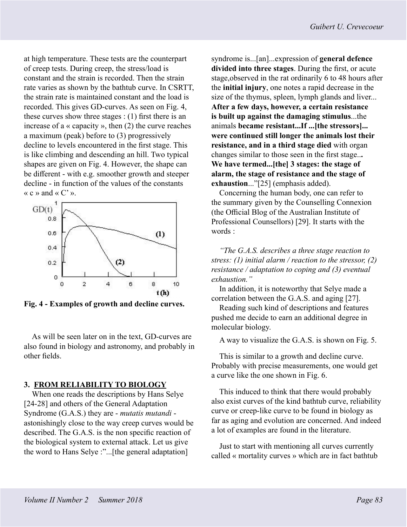at high temperature. These tests are the counterpart of creep tests. During creep, the stress/load is constant and the strain is recorded. Then the strain rate varies as shown by the bathtub curve. In CSRTT, the strain rate is maintained constant and the load is recorded. This gives GD-curves. As seen on Fig. 4, these curves show three stages  $:(1)$  first there is an increase of a « capacity », then (2) the curve reaches a maximum (peak) before to (3) progressively decline to levels encountered in the first stage. This is like climbing and descending an hill. Two typical shapes are given on Fig. 4. However, the shape can be different - with e.g. smoother growth and steeper decline - in function of the values of the constants «  $c$  » and «  $C'$  ».



**Fig. 4 - Examples of growth and decline curves.**

As will be seen later on in the text, GD-curves are also found in biology and astronomy, and probably in other fields.

#### **3. FROM RELIABILITY TO BIOLOGY**

When one reads the descriptions by Hans Selye [24-28] and others of the General Adaptation Syndrome (G.A.S.) they are - *mutatis mutandi* astonishingly close to the way creep curves would be described. The G.A.S. is the non specific reaction of the biological system to external attack. Let us give the word to Hans Selye :"...[the general adaptation]

syndrome is...[an]...expression of **general defence divided into three stages**. During the first, or acute stage,observed in the rat ordinarily 6 to 48 hours after the **initial injury**, one notes a rapid decrease in the size of the thymus, spleen, lymph glands and liver... **After a few days, however, a certain resistance is built up against the damaging stimulus**...the animals **became resistant...If ...[the stressors]... were continued still longer the animals lost their resistance, and in a third stage died** with organ changes similar to those seen in the first stage..**. We have termed...[the] 3 stages: the stage of alarm, the stage of resistance and the stage of exhaustion**..."[25] (emphasis added).

Concerning the human body, one can refer to the summary given by the Counselling Connexion (the Official Blog of the Australian Institute of Professional Counsellors) [29]. It starts with the words :

*"The G.A.S. describes a three stage reaction to stress: (1) initial alarm / reaction to the stressor, (2) resistance / adaptation to coping and (3) eventual exhaustion."* 

In addition, it is noteworthy that Selye made a correlation between the G.A.S. and aging [27].

Reading such kind of descriptions and features pushed me decide to earn an additional degree in molecular biology.

A way to visualize the G.A.S. is shown on Fig. 5.

This is similar to a growth and decline curve. Probably with precise measurements, one would get a curve like the one shown in Fig. 6.

This induced to think that there would probably also exist curves of the kind bathtub curve, reliability curve or creep-like curve to be found in biology as far as aging and evolution are concerned. And indeed a lot of examples are found in the literature.

Just to start with mentioning all curves currently called « mortality curves » which are in fact bathtub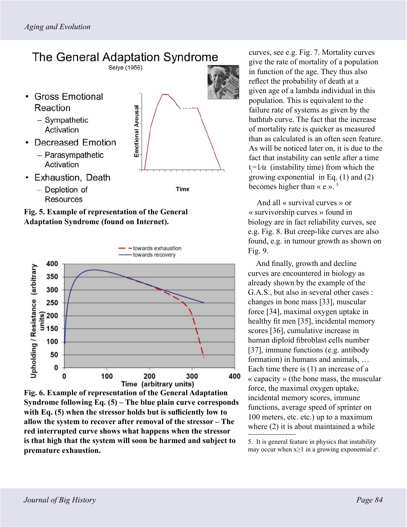# The General Adaptation Syndrome

Selye (1956)

- Gross Emotional Reaction
	- Sympathetic Activation
- Decreased Emotion
	- Parasympathetic Activation





• Exhaustion, Death









curves, see e.g. Fig. 7. Mortality curves give the rate of mortality of a population in function of the age. They thus also reflect the probability of death at a given age of a lambda individual in this population. This is equivalent to the failure rate of systems as given by the bathtub curve. The fact that the increase of mortality rate is quicker as measured than as calculated is an often seen feature. As will be noticed later on, it is due to the fact that instability can settle after a time  $t = \frac{1}{\alpha}$  (instability time) from which the growing exponential in Eq. (1) and (2) becomes higher than  $\ll$  e ».<sup>5</sup>

And all « survival curves » or « survivorship curves » found in biology are in fact reliability curves, see e.g. Fig. 8. But creep-like curves are also found, e.g. in tumour growth as shown on Fig. 9.

And finally, growth and decline curves are encountered in biology as already shown by the example of the G.A.S., but also in several other cases : changes in bone mass [33], muscular force [34], maximal oxygen uptake in healthy fit men [35], incidental memory scores [36], cumulative increase in human diploid fibroblast cells number [37], immune functions (e.g. antibody formation) in humans and animals, … Each time there is (1) an increase of a « capacity » (the bone mass, the muscular force, the maximal oxygen uptake, incidental memory scores, immune functions, average speed of sprinter on 100 meters, etc. etc.) up to a maximum where  $(2)$  it is about maintained a while

5. It is general feature in physics that instability may occur when  $x \ge 1$  in a growing exponential e<sup>x</sup>.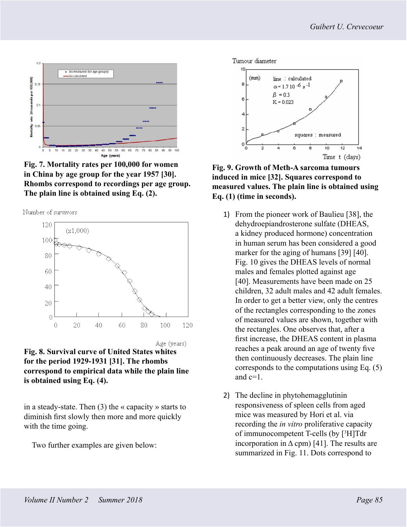

**Fig. 7. Mortality rates per 100,000 for women in China by age group for the year 1957 [30]. Rhombs correspond to recordings per age group. The plain line is obtained using Eq. (2).**





**Fig. 8. Survival curve of United States whites for the period 1929-1931 [31]. The rhombs correspond to empirical data while the plain line is obtained using Eq. (4).**

in a steady-state. Then  $(3)$  the « capacity » starts to diminish first slowly then more and more quickly with the time going.

Two further examples are given below:



**Fig. 9. Growth of Meth-A sarcoma tumours induced in mice [32]. Squares correspond to measured values. The plain line is obtained using Eq. (1) (time in seconds).**

- 1) From the pioneer work of Baulieu [38], the dehydroepiandrosterone sulfate (DHEAS, a kidney produced hormone) concentration in human serum has been considered a good marker for the aging of humans [39] [40]. Fig. 10 gives the DHEAS levels of normal males and females plotted against age [40]. Measurements have been made on 25 children, 32 adult males and 42 adult females. In order to get a better view, only the centres of the rectangles corresponding to the zones of measured values are shown, together with the rectangles. One observes that, after a first increase, the DHEAS content in plasma reaches a peak around an age of twenty five then continuously decreases. The plain line corresponds to the computations using Eq. (5) and c=1.
- 2) The decline in phytohemagglutinin responsiveness of spleen cells from aged mice was measured by Hori et al. via recording the *in vitro* proliferative capacity of immunocompetent T-cells (by [3 H]Tdr incorporation in  $\Delta$  cpm) [41]. The results are summarized in Fig. 11. Dots correspond to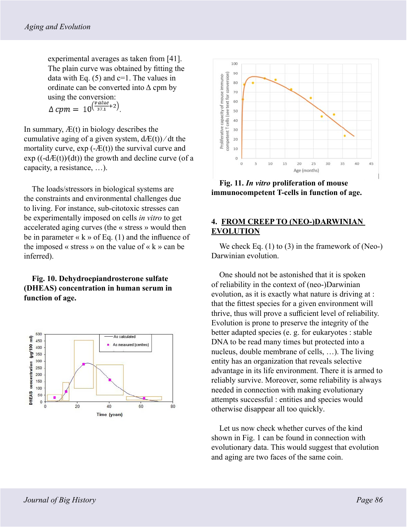experimental averages as taken from [41]. The plain curve was obtained by fitting the data with Eq.  $(5)$  and c=1. The values in ordinate can be converted into  $\Delta$  cpm by using the conversion:<br>  $\Delta$  *cpm* = 10<sup>( $\frac{value}{37.1}+2$ )</sup>

In summary,  $E(t)$  in biology describes the cumulative aging of a given system,  $dE(t)/dt$  the mortality curve,  $exp(-E(t))$  the survival curve and  $\exp ((-d \mathcal{A}E(t))/(dt))$  the growth and decline curve (of a capacity, a resistance, …).

The loads/stressors in biological systems are the constraints and environmental challenges due to living. For instance, sub-citotoxic stresses can be experimentally imposed on cells *in vitro* to get accelerated aging curves (the « stress » would then be in parameter « k » of Eq.  $(1)$  and the influence of the imposed « stress » on the value of «  $k$  » can be inferred).

## **Fig. 10. Dehydroepiandrosterone sulfate (DHEAS) concentration in human serum in function of age.**





**Fig. 11.** *In vitro* **proliferation of mouse immunocompetent T-cells in function of age.** 

## **4. FROM CREEP TO (NEO-)DARWINIAN EVOLUTION**

We check Eq.  $(1)$  to  $(3)$  in the framework of (Neo-) Darwinian evolution.

One should not be astonished that it is spoken of reliability in the context of (neo-)Darwinian evolution, as it is exactly what nature is driving at : that the fittest species for a given environment will thrive, thus will prove a sufficient level of reliability. Evolution is prone to preserve the integrity of the better adapted species (e. g. for eukaryotes : stable DNA to be read many times but protected into a nucleus, double membrane of cells, …). The living entity has an organization that reveals selective advantage in its life environment. There it is armed to reliably survive. Moreover, some reliability is always needed in connection with making evolutionary attempts successful : entities and species would otherwise disappear all too quickly.

Let us now check whether curves of the kind shown in Fig. 1 can be found in connection with evolutionary data. This would suggest that evolution and aging are two faces of the same coin.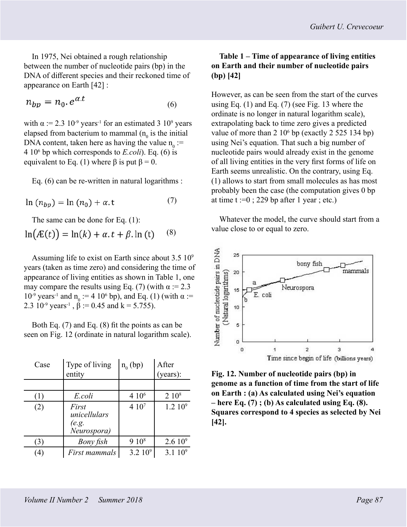In 1975, Nei obtained a rough relationship between the number of nucleotide pairs (bp) in the DNA of different species and their reckoned time of appearance on Earth [42] :

$$
n_{bp} = n_0 e^{\alpha \cdot x} \tag{6}
$$

with  $\alpha := 2.3 \times 10^{-9}$  years<sup>-1</sup> for an estimated 3 10<sup>9</sup> years elapsed from bacterium to mammal  $(n_0$  is the initial DNA content, taken here as having the value  $n_0 :=$ 4 106 bp which corresponds to *E.coli*). Eq. (6) is equivalent to Eq. (1) where  $\beta$  is put  $\beta = 0$ .

Eq. (6) can be re-written in natural logarithms :

$$
\ln (n_{bn}) = \ln (n_0) + \alpha \t{.} \tag{7}
$$

The same can be done for Eq. (1):

$$
\ln(AE(t)) = \ln(k) + \alpha \cdot t + \beta \cdot \ln(t) \qquad (8)
$$

Assuming life to exist on Earth since about  $3.5 \times 10^9$ years (taken as time zero) and considering the time of appearance of living entities as shown in Table 1, one may compare the results using Eq. (7) (with  $\alpha$  := 2.3 10<sup>-9</sup> years<sup>-1</sup> and n<sub>0</sub> := 4 10<sup>6</sup> bp), and Eq. (1) (with α := 2.3  $10^{-9}$  years<sup>-1</sup>,  $\beta$  := 0.45 and k = 5.755).

Both Eq. (7) and Eq. (8) fit the points as can be seen on Fig. 12 (ordinate in natural logarithm scale).

| Case           | Type of living<br>entity                      | $n_0$ (bp)        | After<br>(years): |
|----------------|-----------------------------------------------|-------------------|-------------------|
|                |                                               |                   |                   |
| ( 1 )          | E.coli                                        | 4 10 <sup>6</sup> | $2\;10^8$         |
| (2)            | First<br>unicellulars<br>(e.g.<br>Neurospora) | 410 <sup>7</sup>  | $1.2~10^{9}$      |
| (3)            | Bony fish                                     | 910 <sup>8</sup>  | $2.610^9$         |
| $\overline{4}$ | First mammals                                 | $3.2~10^9$        | $3.1~10^{9}$      |

## **Table 1 – Time of appearance of living entities on Earth and their number of nucleotide pairs (bp) [42]**

However, as can be seen from the start of the curves using Eq. (1) and Eq. (7) (see Fig. 13 where the ordinate is no longer in natural logarithm scale), extrapolating back to time zero gives a predicted value of more than  $2 \times 10^6$  bp (exactly  $2 \times 525 \times 134$  bp) using Nei's equation. That such a big number of nucleotide pairs would already exist in the genome of all living entities in the very first forms of life on Earth seems unrealistic. On the contrary, using Eq. (1) allows to start from small molecules as has most probably been the case (the computation gives 0 bp at time  $t := 0$ ; 229 bp after 1 year; etc.)

Whatever the model, the curve should start from a value close to or equal to zero.



**Fig. 12. Number of nucleotide pairs (bp) in genome as a function of time from the start of life on Earth : (a) As calculated using Nei's equation – here Eq. (7) ; (b) As calculated using Eq. (8). Squares correspond to 4 species as selected by Nei [42].**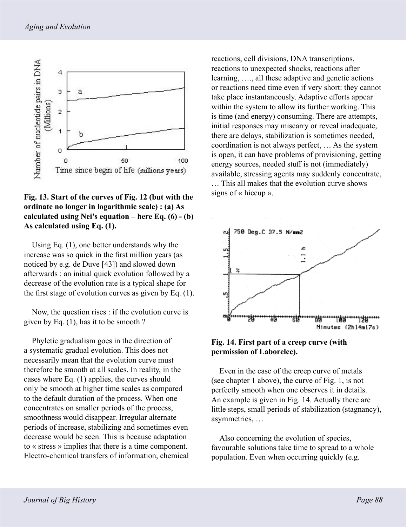

## **Fig. 13. Start of the curves of Fig. 12 (but with the ordinate no longer in logarithmic scale) : (a) As calculated using Nei's equation – here Eq. (6) - (b) As calculated using Eq. (1).**

Using Eq. (1), one better understands why the increase was so quick in the first million years (as noticed by e.g. de Duve [43]) and slowed down afterwards : an initial quick evolution followed by a decrease of the evolution rate is a typical shape for the first stage of evolution curves as given by Eq. (1).

Now, the question rises : if the evolution curve is given by Eq. (1), has it to be smooth ?

Phyletic gradualism goes in the direction of a systematic gradual evolution. This does not necessarily mean that the evolution curve must therefore be smooth at all scales. In reality, in the cases where Eq. (1) applies, the curves should only be smooth at higher time scales as compared to the default duration of the process. When one concentrates on smaller periods of the process, smoothness would disappear. Irregular alternate periods of increase, stabilizing and sometimes even decrease would be seen. This is because adaptation to « stress » implies that there is a time component. Electro-chemical transfers of information, chemical reactions, cell divisions, DNA transcriptions, reactions to unexpected shocks, reactions after learning, …., all these adaptive and genetic actions or reactions need time even if very short: they cannot take place instantaneously. Adaptive efforts appear within the system to allow its further working. This is time (and energy) consuming. There are attempts, initial responses may miscarry or reveal inadequate, there are delays, stabilization is sometimes needed, coordination is not always perfect, … As the system is open, it can have problems of provisioning, getting energy sources, needed stuff is not (immediately) available, stressing agents may suddenly concentrate, … This all makes that the evolution curve shows signs of « hiccup ».



**Fig. 14. First part of a creep curve (with permission of Laborelec).**

Even in the case of the creep curve of metals (see chapter 1 above), the curve of Fig. 1, is not perfectly smooth when one observes it in details. An example is given in Fig. 14. Actually there are little steps, small periods of stabilization (stagnancy), asymmetries, …

Also concerning the evolution of species, favourable solutions take time to spread to a whole population. Even when occurring quickly (e.g.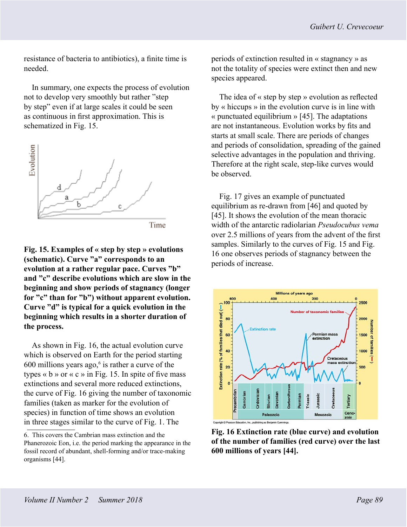resistance of bacteria to antibiotics), a finite time is needed.

In summary, one expects the process of evolution not to develop very smoothly but rather "step by step" even if at large scales it could be seen as continuous in first approximation. This is schematized in Fig. 15.



**Fig. 15. Examples of « step by step » evolutions (schematic). Curve "a" corresponds to an evolution at a rather regular pace. Curves "b" and "c" describe evolutions which are slow in the beginning and show periods of stagnancy (longer for "c" than for "b") without apparent evolution. Curve "d" is typical for a quick evolution in the beginning which results in a shorter duration of the process.**

As shown in Fig. 16, the actual evolution curve which is observed on Earth for the period starting  $600$  millions years ago, $6$  is rather a curve of the types  $\ll$  b  $\gg$  or  $\ll$  c  $\gg$  in Fig. 15. In spite of five mass extinctions and several more reduced extinctions, the curve of Fig. 16 giving the number of taxonomic families (taken as marker for the evolution of species) in function of time shows an evolution in three stages similar to the curve of Fig. 1. The

periods of extinction resulted in « stagnancy » as not the totality of species were extinct then and new species appeared.

The idea of « step by step » evolution as reflected by « hiccups » in the evolution curve is in line with  $\kappa$  punctuated equilibrium » [45]. The adaptations are not instantaneous. Evolution works by fits and starts at small scale. There are periods of changes and periods of consolidation, spreading of the gained selective advantages in the population and thriving. Therefore at the right scale, step-like curves would be observed.

Fig. 17 gives an example of punctuated equilibrium as re-drawn from [46] and quoted by [45]. It shows the evolution of the mean thoracic width of the antarctic radiolarian *Pseudocubus vema* over 2.5 millions of years from the advent of the first samples. Similarly to the curves of Fig. 15 and Fig. 16 one observes periods of stagnancy between the periods of increase.



**Fig. 16 Extinction rate (blue curve) and evolution of the number of families (red curve) over the last 600 millions of years [44].** 

<sup>6.</sup> This covers the Cambrian mass extinction and the Phanerozoic Eon, i.e. the period marking the appearance in the fossil record of abundant, shell-forming and/or trace-making organisms [44].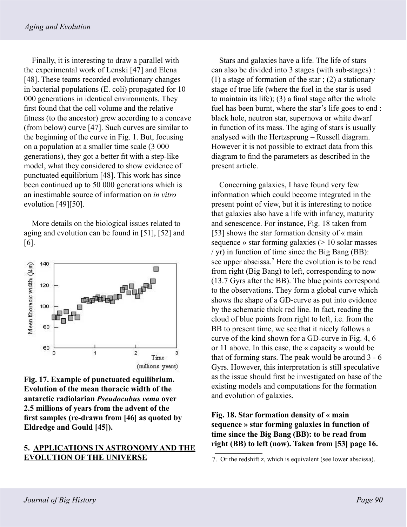Finally, it is interesting to draw a parallel with the experimental work of Lenski [47] and Elena [48]. These teams recorded evolutionary changes in bacterial populations (E. coli) propagated for 10 000 generations in identical environments. They first found that the cell volume and the relative fitness (to the ancestor) grew according to a concave (from below) curve [47]. Such curves are similar to the beginning of the curve in Fig. 1. But, focusing on a population at a smaller time scale (3 000 generations), they got a better fit with a step-like model, what they considered to show evidence of punctuated equilibrium [48]. This work has since been continued up to 50 000 generations which is an inestimable source of information on *in vitro* evolution [49][50].

More details on the biological issues related to aging and evolution can be found in [51], [52] and [6].



**Fig. 17. Example of punctuated equilibrium. Evolution of the mean thoracic width of the antarctic radiolarian** *Pseudocubus vema* **over 2.5 millions of years from the advent of the first samples (re-drawn from [46] as quoted by Eldredge and Gould [45]).**

## **5. APPLICATIONS IN ASTRONOMY AND THE EVOLUTION OF THE UNIVERSE**

Stars and galaxies have a life. The life of stars can also be divided into 3 stages (with sub-stages) : (1) a stage of formation of the star ; (2) a stationary stage of true life (where the fuel in the star is used to maintain its life); (3) a final stage after the whole fuel has been burnt, where the star's life goes to end : black hole, neutron star, supernova or white dwarf in function of its mass. The aging of stars is usually analysed with the Hertzsprung – Russell diagram. However it is not possible to extract data from this diagram to find the parameters as described in the present article.

Concerning galaxies, I have found very few information which could become integrated in the present point of view, but it is interesting to notice that galaxies also have a life with infancy, maturity and senescence. For instance, Fig. 18 taken from [53] shows the star formation density of « main sequence » star forming galaxies  $(> 10 \text{ solar masses})$ / yr) in function of time since the Big Bang (BB): see upper abscissa.<sup>7</sup> Here the evolution is to be read from right (Big Bang) to left, corresponding to now (13.7 Gyrs after the BB). The blue points correspond to the observations. They form a global curve which shows the shape of a GD-curve as put into evidence by the schematic thick red line. In fact, reading the cloud of blue points from right to left, i.e. from the BB to present time, we see that it nicely follows a curve of the kind shown for a GD-curve in Fig. 4, 6 or 11 above. In this case, the « capacity » would be that of forming stars. The peak would be around 3 - 6 Gyrs. However, this interpretation is still speculative as the issue should first be investigated on base of the existing models and computations for the formation and evolution of galaxies.

## **Fig. 18. Star formation density of « main sequence » star forming galaxies in function of time since the Big Bang (BB): to be read from right (BB) to left (now). Taken from [53] page 16.**

<sup>7.</sup> Or the redshift z, which is equivalent (see lower abscissa).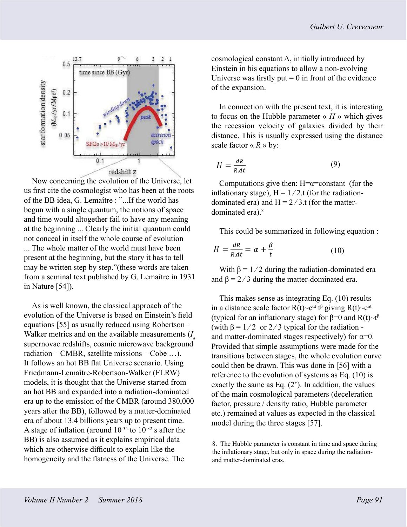

Now concerning the evolution of the Universe, let us first cite the cosmologist who has been at the roots of the BB idea, G. Lemaître : "...If the world has begun with a single quantum, the notions of space and time would altogether fail to have any meaning at the beginning ... Clearly the initial quantum could not conceal in itself the whole course of evolution ... The whole matter of the world must have been present at the beginning, but the story it has to tell may be written step by step."(these words are taken from a seminal text published by G. Lemaître in 1931 in Nature [54]).

As is well known, the classical approach of the evolution of the Universe is based on Einstein's field equations [55] as usually reduced using Robertson– Walker metrics and on the available measurements (*I a* supernovae redshifts, cosmic microwave background radiation – CMBR, satellite missions – Cobe …). It follows an hot BB flat Universe scenario. Using Friedmann-Lemaître-Robertson-Walker (FLRW) models, it is thought that the Universe started from an hot BB and expanded into a radiation-dominated era up to the emission of the CMBR (around 380,000 years after the BB), followed by a matter-dominated era of about 13.4 billions years up to present time. A stage of inflation (around  $10^{-35}$  to  $10^{-32}$  s after the BB) is also assumed as it explains empirical data which are otherwise difficult to explain like the homogeneity and the flatness of the Universe. The

cosmological constant  $\Lambda$ , initially introduced by Einstein in his equations to allow a non-evolving Universe was firstly put  $= 0$  in front of the evidence of the expansion.

In connection with the present text, it is interesting to focus on the Hubble parameter  $\kappa$  *H* » which gives the recession velocity of galaxies divided by their distance. This is usually expressed using the distance scale factor  $\ll R \gg$  by:

$$
H = \frac{dR}{R \cdot dt} \tag{9}
$$

Computations give then:  $H = \alpha = constant$  (for the inflationary stage),  $H = 1/2$ .t (for the radiationdominated era) and  $H = 2/3$ .t (for the matterdominated era).<sup>8</sup>

This could be summarized in following equation :

$$
H = \frac{dR}{R \cdot dt} = \alpha + \frac{\beta}{t} \tag{10}
$$

With  $\beta = 1/2$  during the radiation-dominated era and  $\beta = 2/3$  during the matter-dominated era.

This makes sense as integrating Eq. (10) results in a distance scale factor  $R(t)$ ~e<sup> $\alpha$ t</sup> t<sup>β</sup> giving  $R(t)$ ~e<sup> $\alpha$ t</sup> (typical for an inflationary stage) for  $\beta$ =0 and R(t)~t<sup> $\beta$ </sup> (with  $\beta = 1/2$  or 2/3 typical for the radiation and matter-dominated stages respectively) for  $\alpha=0$ . Provided that simple assumptions were made for the transitions between stages, the whole evolution curve could then be drawn. This was done in [56] with a reference to the evolution of systems as Eq. (10) is exactly the same as Eq.  $(2')$ . In addition, the values of the main cosmological parameters (deceleration factor, pressure / density ratio, Hubble parameter etc.) remained at values as expected in the classical model during the three stages [57].

<sup>8.</sup> The Hubble parameter is constant in time and space during the inflationary stage, but only in space during the radiationand matter-dominated eras.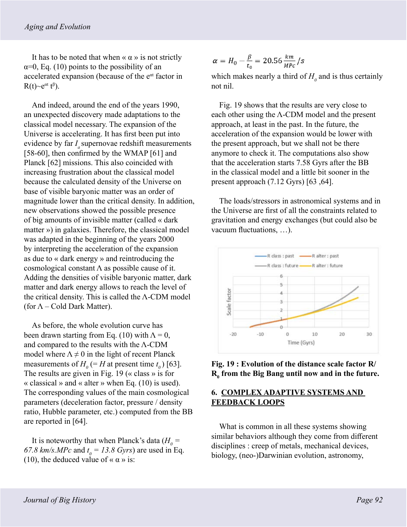It has to be noted that when  $\langle \alpha \rangle$  is not strictly  $\alpha=0$ , Eq. (10) points to the possibility of an accelerated expansion (because of the  $e<sup>at</sup>$  factor in  $R(t)$ ~ $e^{\alpha t} t^{\beta}$ ).

And indeed, around the end of the years 1990, an unexpected discovery made adaptations to the classical model necessary. The expansion of the Universe is accelerating. It has first been put into evidence by far  $I_a$  supernovae redshift measurements [58-60], then confirmed by the WMAP [61] and Planck [62] missions. This also coincided with increasing frustration about the classical model because the calculated density of the Universe on base of visible baryonic matter was an order of magnitude lower than the critical density. In addition, new observations showed the possible presence of big amounts of invisible matter (called « dark matter ») in galaxies. Therefore, the classical model was adapted in the beginning of the years 2000 by interpreting the acceleration of the expansion as due to « dark energy » and reintroducing the cosmological constant  $\Lambda$  as possible cause of it. Adding the densities of visible baryonic matter, dark matter and dark energy allows to reach the level of the critical density. This is called the Λ-CDM model (for  $\Lambda$  – Cold Dark Matter).

As before, the whole evolution curve has been drawn starting from Eq. (10) with  $\Lambda = 0$ , and compared to the results with the Λ-CDM model where  $\Lambda \neq 0$  in the light of recent Planck measurements of  $H_0$  (= *H* at present time  $t_0$ ) [63]. The results are given in Fig. 19 ( $\alpha$  class  $\alpha$  is for « classical » and « alter » when Eq.  $(10)$  is used). The corresponding values of the main cosmological parameters (deceleration factor, pressure / density ratio, Hubble parameter, etc.) computed from the BB are reported in [64].

It is noteworthy that when Planck's data  $(H_0 =$ 67.8 km/s.MPc and  $t_0 = 13.8$  Gyrs) are used in Eq. (10), the deduced value of  $\alpha \alpha$  » is:

$$
\alpha = H_0 - \frac{\beta}{t_0} = 20.56 \frac{km}{Mpc} / s
$$

which makes nearly a third of  $H_0$  and is thus certainly not nil.

Fig. 19 shows that the results are very close to each other using the  $\Lambda$ -CDM model and the present approach, at least in the past. In the future, the acceleration of the expansion would be lower with the present approach, but we shall not be there anymore to check it. The computations also show that the acceleration starts 7.58 Gyrs after the BB in the classical model and a little bit sooner in the present approach (7.12 Gyrs) [63 ,64].

The loads/stressors in astronomical systems and in the Universe are first of all the constraints related to gravitation and energy exchanges (but could also be vacuum fluctuations, …).



**Fig. 19 : Evolution of the distance scale factor R/ R0 from the Big Bang until now and in the future.**

## **6. COMPLEX ADAPTIVE SYSTEMS AND FEEDBACK LOOPS**

What is common in all these systems showing similar behaviors although they come from different disciplines : creep of metals, mechanical devices, biology, (neo-)Darwinian evolution, astronomy,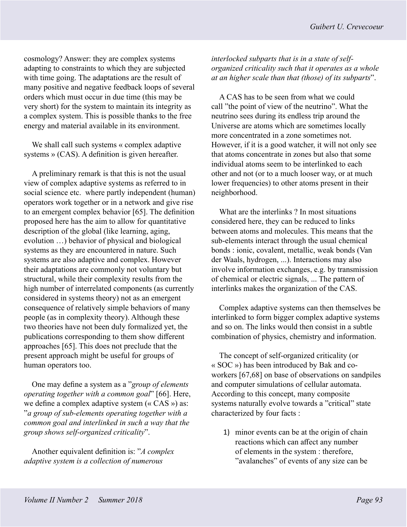cosmology? Answer: they are complex systems adapting to constraints to which they are subjected with time going. The adaptations are the result of many positive and negative feedback loops of several orders which must occur in due time (this may be very short) for the system to maintain its integrity as a complex system. This is possible thanks to the free energy and material available in its environment.

We shall call such systems « complex adaptive systems » (CAS). A definition is given hereafter.

A preliminary remark is that this is not the usual view of complex adaptive systems as referred to in social science etc. where partly independent (human) operators work together or in a network and give rise to an emergent complex behavior [65]. The definition proposed here has the aim to allow for quantitative description of the global (like learning, aging, evolution …) behavior of physical and biological systems as they are encountered in nature. Such systems are also adaptive and complex. However their adaptations are commonly not voluntary but structural, while their complexity results from the high number of interrelated components (as currently considered in systems theory) not as an emergent consequence of relatively simple behaviors of many people (as in complexity theory). Although these two theories have not been duly formalized yet, the publications corresponding to them show different approaches [65]. This does not preclude that the present approach might be useful for groups of human operators too.

One may define a system as a "*group of elements operating together with a common goal*" [66]. Here, we define a complex adaptive system (« CAS ») as: "*a group of sub-elements operating together with a common goal and interlinked in such a way that the group shows self-organized criticality*".

Another equivalent definition is: "*A complex adaptive system is a collection of numerous* 

## *interlocked subparts that is in a state of selforganized criticality such that it operates as a whole at an higher scale than that (those) of its subparts*".

A CAS has to be seen from what we could call "the point of view of the neutrino". What the neutrino sees during its endless trip around the Universe are atoms which are sometimes locally more concentrated in a zone sometimes not. However, if it is a good watcher, it will not only see that atoms concentrate in zones but also that some individual atoms seem to be interlinked to each other and not (or to a much looser way, or at much lower frequencies) to other atoms present in their neighborhood.

What are the interlinks ? In most situations considered here, they can be reduced to links between atoms and molecules. This means that the sub-elements interact through the usual chemical bonds : ionic, covalent, metallic, weak bonds (Van der Waals, hydrogen, ...). Interactions may also involve information exchanges, e.g. by transmission of chemical or electric signals, ... The pattern of interlinks makes the organization of the CAS.

Complex adaptive systems can then themselves be interlinked to form bigger complex adaptive systems and so on. The links would then consist in a subtle combination of physics, chemistry and information.

The concept of self-organized criticality (or « SOC ») has been introduced by Bak and coworkers [67,68] on base of observations on sandpiles and computer simulations of cellular automata. According to this concept, many composite systems naturally evolve towards a "critical" state characterized by four facts :

1) minor events can be at the origin of chain reactions which can affect any number of elements in the system : therefore, "avalanches" of events of any size can be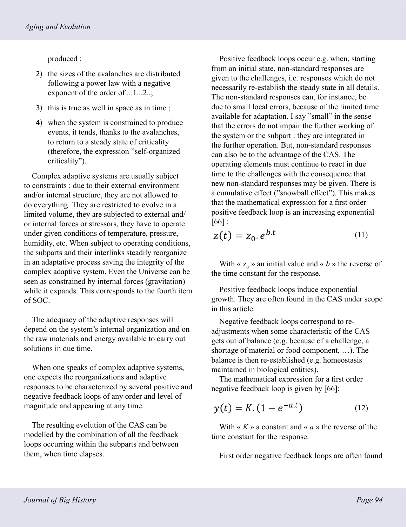produced ;

- 2) the sizes of the avalanches are distributed following a power law with a negative exponent of the order of ...1...2..;
- 3) this is true as well in space as in time ;
- 4) when the system is constrained to produce events, it tends, thanks to the avalanches, to return to a steady state of criticality (therefore, the expression "self-organized criticality").

Complex adaptive systems are usually subject to constraints : due to their external environment and/or internal structure, they are not allowed to do everything. They are restricted to evolve in a limited volume, they are subjected to external and/ or internal forces or stressors, they have to operate under given conditions of temperature, pressure, humidity, etc. When subject to operating conditions, the subparts and their interlinks steadily reorganize in an adaptative process saving the integrity of the complex adaptive system. Even the Universe can be seen as constrained by internal forces (gravitation) while it expands. This corresponds to the fourth item of SOC.

The adequacy of the adaptive responses will depend on the system's internal organization and on the raw materials and energy available to carry out solutions in due time.

When one speaks of complex adaptive systems, one expects the reorganizations and adaptive responses to be characterized by several positive and negative feedback loops of any order and level of magnitude and appearing at any time.

The resulting evolution of the CAS can be modelled by the combination of all the feedback loops occurring within the subparts and between them, when time elapses.

Positive feedback loops occur e.g. when, starting from an initial state, non-standard responses are given to the challenges, i.e. responses which do not necessarily re-establish the steady state in all details. The non-standard responses can, for instance, be due to small local errors, because of the limited time available for adaptation. I say "small" in the sense that the errors do not impair the further working of the system or the subpart : they are integrated in the further operation. But, non-standard responses can also be to the advantage of the CAS. The operating elements must continue to react in due time to the challenges with the consequence that new non-standard responses may be given. There is a cumulative effect ("snowball effect"). This makes that the mathematical expression for a first order positive feedback loop is an increasing exponential  $[66]$ :

$$
z(t) = z_0 e^{b.t} \tag{11}
$$

With «  $z_0$  » an initial value and « *b* » the reverse of the time constant for the response.

Positive feedback loops induce exponential growth. They are often found in the CAS under scope in this article.

Negative feedback loops correspond to readjustments when some characteristic of the CAS gets out of balance (e.g. because of a challenge, a shortage of material or food component, …). The balance is then re-established (e.g. homeostasis maintained in biological entities).

The mathematical expression for a first order negative feedback loop is given by [66]:

$$
y(t) = K. (1 - e^{-a.t})
$$
 (12)

With «  $K \rightarrow a$  constant and «  $a \rightarrow b$  the reverse of the time constant for the response.

First order negative feedback loops are often found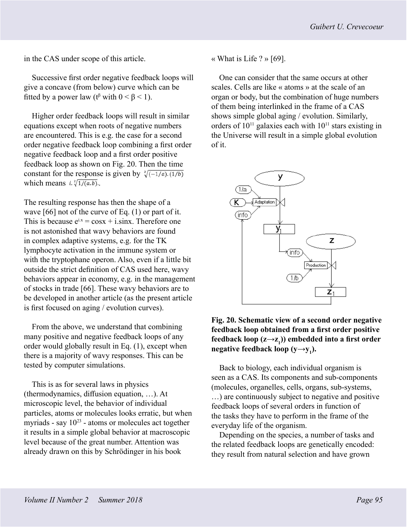in the CAS under scope of this article.

Successive first order negative feedback loops will give a concave (from below) curve which can be fitted by a power law ( $t^{\beta}$  with  $0 < \beta < 1$ ).

Higher order feedback loops will result in similar equations except when roots of negative numbers are encountered. This is e.g. the case for a second order negative feedback loop combining a first order negative feedback loop and a first order positive feedback loop as shown on Fig. 20. Then the time constant for the response is given by  $\sqrt[2]{(-1/a)(1/b)}$ which means  $i.\sqrt[2]{1/(a.b)}$ .

The resulting response has then the shape of a wave [66] not of the curve of Eq. (1) or part of it. This is because  $e^{ix} = cosx + i.sinx$ . Therefore one is not astonished that wavy behaviors are found in complex adaptive systems, e.g. for the TK lymphocyte activation in the immune system or with the tryptophane operon. Also, even if a little bit outside the strict definition of CAS used here, wavy behaviors appear in economy, e.g. in the management of stocks in trade [66]. These wavy behaviors are to be developed in another article (as the present article is first focused on aging / evolution curves).

From the above, we understand that combining many positive and negative feedback loops of any order would globally result in Eq. (1), except when there is a majority of wavy responses. This can be tested by computer simulations.

This is as for several laws in physics (thermodynamics, diffusion equation, …). At microscopic level, the behavior of individual particles, atoms or molecules looks erratic, but when myriads - say  $10^{23}$  - atoms or molecules act together it results in a simple global behavior at macroscopic level because of the great number. Attention was already drawn on this by Schrödinger in his book

« What is Life ? » [69].

One can consider that the same occurs at other scales. Cells are like « atoms » at the scale of an organ or body, but the combination of huge numbers of them being interlinked in the frame of a CAS shows simple global aging / evolution. Similarly, orders of  $10^{11}$  galaxies each with  $10^{11}$  stars existing in the Universe will result in a simple global evolution of it.



**Fig. 20. Schematic view of a second order negative feedback loop obtained from a first order positive feedback loop (z→z<sup>1</sup> )) embedded into a first order negative feedback loop (y→y<sup>1</sup> ).**

Back to biology, each individual organism is seen as a CAS. Its components and sub-components (molecules, organelles, cells, organs, sub-systems, …) are continuously subject to negative and positive feedback loops of several orders in function of the tasks they have to perform in the frame of the everyday life of the organism.

Depending on the species, a number of tasks and the related feedback loops are genetically encoded: they result from natural selection and have grown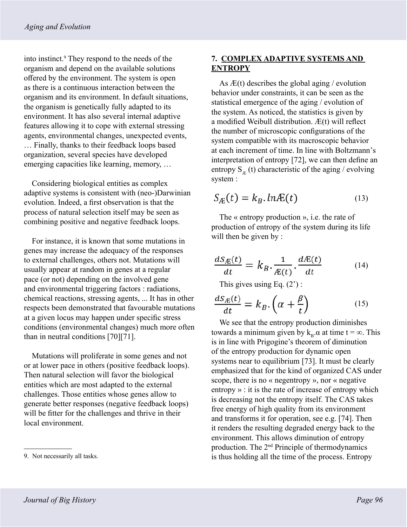into instinct.<sup>9</sup> They respond to the needs of the organism and depend on the available solutions offered by the environment. The system is open as there is a continuous interaction between the organism and its environment. In default situations, the organism is genetically fully adapted to its environment. It has also several internal adaptive features allowing it to cope with external stressing agents, environmental changes, unexpected events, … Finally, thanks to their feedback loops based organization, several species have developed emerging capacities like learning, memory, …

Considering biological entities as complex adaptive systems is consistent with (neo-)Darwinian evolution. Indeed, a first observation is that the process of natural selection itself may be seen as combining positive and negative feedback loops.

For instance, it is known that some mutations in genes may increase the adequacy of the responses to external challenges, others not. Mutations will usually appear at random in genes at a regular pace (or not) depending on the involved gene and environmental triggering factors : radiations, chemical reactions, stressing agents, ... It has in other respects been demonstrated that favourable mutations at a given locus may happen under specific stress conditions (environmental changes) much more often than in neutral conditions [70][71].

Mutations will proliferate in some genes and not or at lower pace in others (positive feedback loops). Then natural selection will favor the biological entities which are most adapted to the external challenges. Those entities whose genes allow to generate better responses (negative feedback loops) will be fitter for the challenges and thrive in their local environment.

## **7. COMPLEX ADAPTIVE SYSTEMS AND ENTROPY**

As  $E(t)$  describes the global aging / evolution behavior under constraints, it can be seen as the statistical emergence of the aging / evolution of the system. As noticed, the statistics is given by a modified Weibull distribution. Æ(t) will reflect the number of microscopic configurations of the system compatible with its macroscopic behavior at each increment of time. In line with Boltzmann's interpretation of entropy [72], we can then define an entropy  $S_{\text{F}_{k}}(t)$  characteristic of the aging / evolving system :

$$
S_{\mathcal{A}}(t) = k_B \cdot ln \mathcal{A}(t) \tag{13}
$$

The « entropy production », i.e. the rate of production of entropy of the system during its life will then be given by :

$$
\frac{dS_{\mathcal{L}}(t)}{dt} = k_B \cdot \frac{1}{\mathcal{L}(t)} \cdot \frac{d\mathcal{L}(t)}{dt} \tag{14}
$$

This gives using Eq.  $(2')$ :

$$
\frac{dS_{\mathcal{A}}(t)}{dt} = k_B \cdot \left(\alpha + \frac{\beta}{t}\right) \tag{15}
$$

We see that the entropy production diminishes towards a minimum given by  $k_{\text{B}}$ .α at time t = ∞. This is in line with Prigogine's theorem of diminution of the entropy production for dynamic open systems near to equilibrium [73]. It must be clearly emphasized that for the kind of organized CAS under scope, there is no « negentropy », nor « negative entropy » : it is the rate of increase of entropy which is decreasing not the entropy itself. The CAS takes free energy of high quality from its environment and transforms it for operation, see e.g. [74]. Then it renders the resulting degraded energy back to the environment. This allows diminution of entropy production. The 2nd Principle of thermodynamics 9. Not necessarily all tasks. is thus holding all the time of the process. Entropy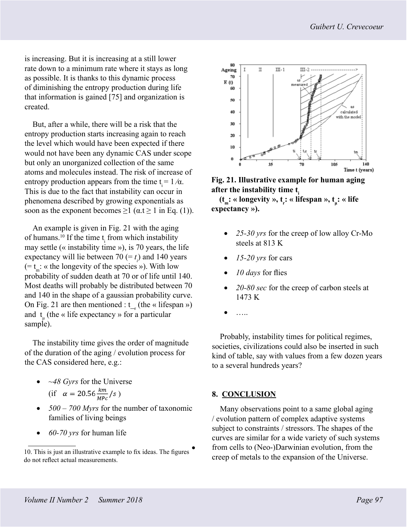is increasing. But it is increasing at a still lower rate down to a minimum rate where it stays as long as possible. It is thanks to this dynamic process of diminishing the entropy production during life that information is gained [75] and organization is created.

But, after a while, there will be a risk that the entropy production starts increasing again to reach the level which would have been expected if there would not have been any dynamic CAS under scope but only an unorganized collection of the same atoms and molecules instead. The risk of increase of entropy production appears from the time  $t = 1/\alpha$ . This is due to the fact that instability can occur in phenomena described by growing exponentials as soon as the exponent becomes  $\geq 1$  ( $\alpha$ .t  $\geq 1$  in Eq. (1)).

An example is given in Fig. 21 with the aging of humans.<sup>10</sup> If the time  $t_i$  from which instability may settle (« instability time »), is 70 years, the life expectancy will lie between 70 (=  $t_i$ ) and 140 years  $(= t_m: \alpha$  the longevity of the species »). With low probability of sudden death at 70 or of life until 140. Most deaths will probably be distributed between 70 and 140 in the shape of a gaussian probability curve. On Fig. 21 are then mentioned :  $t_{r}$  (the « lifespan ») and  $t_{\mu}$  (the « life expectancy » for a particular sample).

The instability time gives the order of magnitude of the duration of the aging / evolution process for the CAS considered here, e.g.:

- *~48 Gyrs* for the Universe (if  $\alpha = 20.56 \frac{km}{MPc}/s$ )
- *500 700 Myrs* for the number of taxonomic families of living beings
- *60-70 yrs* for human life



**Fig. 21. Illustrative example for human aging**  after the instability time t.

**(t<sub>m</sub>: « longevity », t<sub>r</sub>: « lifespan », t<sub>µ</sub>: « life expectancy »).** 

- 25-30 yrs for the creep of low alloy Cr-Mo steels at 813 K
- *15-20 yrs* for cars
- *10 days* for flies
- *20-80 sec* for the creep of carbon steels at 1473 K
- …..

Probably, instability times for political regimes, societies, civilizations could also be inserted in such kind of table, say with values from a few dozen years to a several hundreds years?

### **8. CONCLUSION**

Many observations point to a same global aging / evolution pattern of complex adaptive systems subject to constraints / stressors. The shapes of the curves are similar for a wide variety of such systems from cells to (Neo-)Darwinian evolution, from the creep of metals to the expansion of the Universe.

<sup>10.</sup> This is just an illustrative example to fix ideas. The figures do not reflect actual measurements.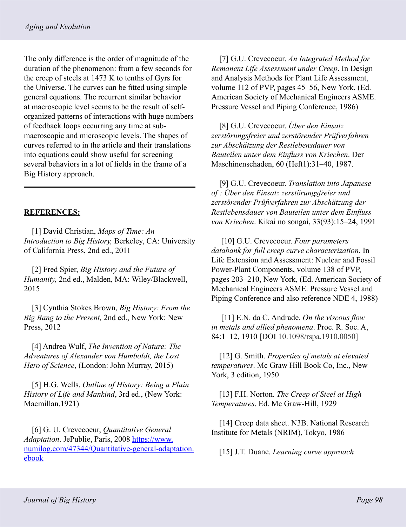The only difference is the order of magnitude of the duration of the phenomenon: from a few seconds for the creep of steels at 1473 K to tenths of Gyrs for the Universe. The curves can be fitted using simple general equations. The recurrent similar behavior at macroscopic level seems to be the result of selforganized patterns of interactions with huge numbers of feedback loops occurring any time at submacroscopic and microscopic levels. The shapes of curves referred to in the article and their translations into equations could show useful for screening several behaviors in a lot of fields in the frame of a Big History approach.

## **REFERENCES:**

[1] David Christian, *Maps of Time: An Introduction to Big History,* Berkeley, CA: University of California Press, 2nd ed., 2011

[2] Fred Spier, *Big History and the Future of Humanity,* 2nd ed., Malden, MA: Wiley/Blackwell, 2015

[3] Cynthia Stokes Brown, *Big History: From the Big Bang to the Present,* 2nd ed., New York: New Press, 2012

[4] Andrea Wulf, *The Invention of Nature: The Adventures of Alexander von Humboldt, the Lost Hero of Science*, (London: John Murray, 2015)

[5] H.G. Wells, *Outline of History: Being a Plain History of Life and Mankind*, 3rd ed., (New York: Macmillan,1921)

[6] G. U. Crevecoeur, *Quantitative General Adaptation*. JePublie, Paris, 2008 [https://www.](https://www.numilog.com/47344/Quantitative-general-adaptation.ebook) [numilog.com/47344/Quantitative-general-adaptation.](https://www.numilog.com/47344/Quantitative-general-adaptation.ebook) [ebook](https://www.numilog.com/47344/Quantitative-general-adaptation.ebook)

[7] G.U. Crevecoeur. *An Integrated Method for Remanent Life Assessment under Creep*. In Design and Analysis Methods for Plant Life Assessment, volume 112 of PVP, pages 45–56, New York, (Ed. American Society of Mechanical Engineers ASME. Pressure Vessel and Piping Conference, 1986)

[8] G.U. Crevecoeur. *Über den Einsatz zerstörungsfreier und zerstörender Prüfverfahren zur Abschätzung der Restlebensdauer von Bauteilen unter dem Einfluss von Kriechen*. Der Maschinenschaden, 60 (Heft1):31–40, 1987.

[9] G.U. Crevecoeur. *Translation into Japanese of : Über den Einsatz zerstörungsfreier und zerstörender Prüfverfahren zur Abschätzung der Restlebensdauer von Bauteilen unter dem Einfluss von Kriechen*. Kikai no songai, 33(93):15–24, 1991

 [10] G.U. Crevecoeur. *Four parameters databank for full creep curve characterization*. In Life Extension and Assessment: Nuclear and Fossil Power-Plant Components, volume 138 of PVP, pages 203–210, New York, (Ed. American Society of Mechanical Engineers ASME. Pressure Vessel and Piping Conference and also reference NDE 4, 1988)

 [11] E.N. da C. Andrade. *On the viscous flow in metals and allied phenomena*. Proc. R. Soc. A, 84:1–12, 1910 [DOI 10.1098/rspa.1910.0050]

[12] G. Smith. *Properties of metals at elevated temperatures*. Mc Graw Hill Book Co, Inc., New York, 3 edition, 1950

[13] F.H. Norton. *The Creep of Steel at High Temperatures*. Ed. Mc Graw-Hill, 1929

[14] Creep data sheet. N3B. National Research Institute for Metals (NRIM), Tokyo, 1986

[15] J.T. Duane. *Learning curve approach*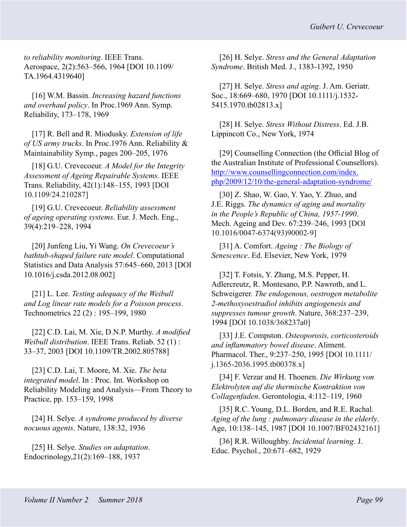*to reliability monitoring*. IEEE Trans. Aerospace, 2(2):563–566, 1964 [DOI 10.1109/ TA.1964.4319640]

[16] W.M. Bassin. *Increasing hazard functions and overhaul policy*. In Proc.1969 Ann. Symp. Reliability, 173–178, 1969

[17] R. Bell and R. Miodusky. *Extension of life of US army trucks*. In Proc.1976 Ann. Reliability & Maintainability Symp., pages 200–205, 1976

[18] G.U. Crevecoeur. *A Model for the Integrity Assessment of Ageing Repairable Systems*. IEEE Trans. Reliability, 42(1):148–155, 1993 [DOI 10.1109/24.210287]

[19] G.U. Crevecoeur. *Reliability assessment of ageing operating systems*. Eur. J. Mech. Eng., 39(4):219–228, 1994

[20] Junfeng Liu, Yi Wang. *On Crevecoeur's bathtub-shaped failure rate model*. Computational Statistics and Data Analysis 57:645–660, 2013 [DOI 10.1016/j.csda.2012.08.002]

[21] L. Lee. *Testing adequacy of the Weibull and Log linear rate models for a Poisson process*. Technometrics 22 (2) : 195–199, 1980

[22] C.D. Lai, M. Xie, D.N.P. Murthy. *A modified Weibull distribution*. IEEE Trans. Reliab. 52 (1) : 33–37, 2003 [DOI 10.1109/TR.2002.805788]

[23] C.D. Lai, T. Moore, M. Xie. *The beta integrated model*. In : Proc. Int. Workshop on Reliability Modeling and Analysis—From Theory to Practice, pp. 153–159, 1998

[24] H. Selye. *A syndrome produced by diverse nocuous agents*. Nature, 138:32, 1936

[25] H. Selye. *Studies on adaptation*. Endocrinology,21(2):169–188, 1937

[26] H. Selye. *Stress and the General Adaptation Syndrome*. British Med. J., 1383-1392, 1950

[27] H. Selye. *Stress and aging*. J. Am. Geriatr. Soc., 18:669–680, 1970 [DOI 10.1111/j.1532- 5415.1970.tb02813.x]

[28] H. Selye. *Stress Without Distress*. Ed. J.B. Lippincott Co., New York, 1974

[29] Counselling Connection (the Official Blog of the Australian Institute of Professional Counsellors). [http://www.counsellingconnection.com/index.](http://www.counsellingconnection.com/index.php/2009/12/10/the-general-adaptation-syndrome/) [php/2009/12/10/the-general-adaptation-syndrome/](http://www.counsellingconnection.com/index.php/2009/12/10/the-general-adaptation-syndrome/)

[30] Z. Shao, W. Gao, Y. Yao, Y. Zhuo, and J.E. Riggs. *The dynamics of aging and mortality in the People's Republic of China, 1957-1990*. Mech. Ageing and Dev. 67:239–246, 1993 [DOI 10.1016/0047-6374(93)90002-9]

[31] A. Comfort. *Ageing : The Biology of Senescence*. Ed. Elsevier, New York, 1979

[32] T. Fotsis, Y. Zhang, M.S. Pepper, H. Adlercreutz, R. Montesano, P.P. Nawroth, and L. Schweigerer. *The endogenous, oestrogen metabolite 2-methoxyoestradiol inhibits angiogenesis and suppresses tumour growth*. Nature, 368:237–239, 1994 [DOI 10.1038/368237a0]

[33] J.E. Compston. *Osteoporosis, corticosteroids and inflammatory bowel disease*. Aliment. Pharmacol. Ther., 9:237–250, 1995 [DOI 10.1111/ j.1365-2036.1995.tb00378.x]

[34] F. Verzar and H. Thoenen. *Die Wirkung von Elektrolyten auf die thermische Kontraktion von Collagenfaden*. Gerontologia, 4:112–119, 1960

[35] R.C. Young, D.L. Borden, and R.E. Rachal. *Aging of the lung : pulmonary disease in the elderly*. Age, 10:138–145, 1987 [DOI 10.1007/BF02432161]

[36] R.R. Willoughby. *Incidental learning*. J. Educ. Psychol., 20:671–682, 1929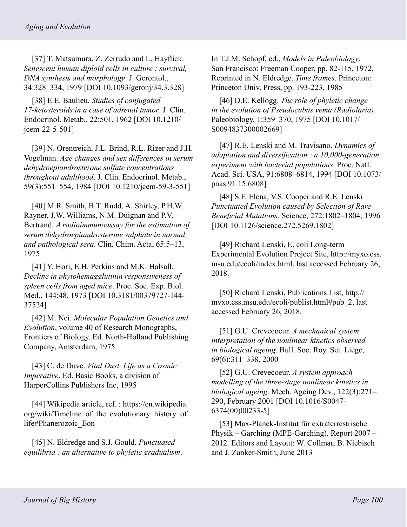[37] T. Matsumura, Z. Zerrudo and L. Hayflick. *Senescent human diploid cells in culture : survival, DNA synthesis and morphology*. J. Gerontol., 34:328–334, 1979 [DOI 10.1093/geronj/34.3.328]

[38] E.E. Baulieu. *Studies of conjugated 17-ketosteroids in a case of adrenal tumor*. J. Clin. Endocrinol. Metab., 22:501, 1962 [DOI 10.1210/ jcem-22-5-501]

[39] N. Orentreich, J.L. Brind, R.L. Rizer and J.H. Vogelman. *Age changes and sex differences in serum dehydroepiandrosterone sulfate concentrations throughout adulthood*. J. Clin. Endocrinol. Metab., 59(3):551–554, 1984 [DOI 10.1210/jcem-59-3-551]

[40] M.R. Smith, B.T. Rudd, A. Shirley, P.H.W. Rayner, J.W. Williams, N.M. Duignan and P.V. Bertrand. *A radioimmunoassay for the estimation of serum dehydroepiandrosterone sulphate in normal and pathological sera*. Clin. Chim. Acta, 65:5–13, 1975

[41] Y. Hori, E.H. Perkins and M.K. Halsall. *Decline in phytohemagglutinin responsiveness of spleen cells from aged mice*. Proc. Soc. Exp. Biol. Med., 144:48, 1973 [DOI 10.3181/00379727-144- 37524]

[42] M. Nei. *Molecular Population Genetics and Evolution*, volume 40 of Research Monographs, Frontiers of Biology. Ed. North-Holland Publishing Company, Amsterdam, 1975

[43] C. de Duve. *Vital Dust. Life as a Cosmic Imperative*. Ed. Basic Books, a division of HarperCollins Publishers Inc, 1995

[44] Wikipedia article, ref. : https://en.wikipedia. org/wiki/Timeline of the evolutionary history of life#Phanerozoic\_Eon

[45] N. Eldredge and S.J. Gould. *Punctuated equilibria : an alternative to phyletic gradualism*. In T.J.M. Schopf, ed., *Models in Paleobiology*. San Francisco: Freeman Cooper, pp. 82-115, 1972. Reprinted in N. Eldredge. *Time frames*. Princeton: Princeton Univ. Press, pp. 193-223, 1985

[46] D.E. Kellogg. *The role of phyletic change in the evolution of Pseudocubus vema (Radiolaria)*. Paleobiology, 1:359–370, 1975 [DOI 10.1017/ S0094837300002669]

[47] R.E. Lenski and M. Travisano. *Dynamics of adaptation and diversification : a 10,000-generation experiment with bacterial populations*. Proc. Natl. Acad. Sci. USA, 91:6808–6814, 1994 [DOI 10.1073/ pnas.91.15.6808]

[48] S.F. Elena, V.S. Cooper and R.E. Lenski *Punctuated Evolution caused by Selection of Rare Beneficial Mutations*. Science, 272:1802–1804, 1996 [DOI 10.1126/science.272.5269.1802]

[49] Richard Lenski, E. coli Long-term Experimental Evolution Project Site, http://myxo.css. msu.edu/ecoli/index.html, last accessed February 26, 2018.

[50] Richard Lenski, Publications List, http:// myxo.css.msu.edu/ecoli/publist.html#pub\_2, last accessed February 26, 2018.

[51] G.U. Crevecoeur. *A mechanical system interpretation of the nonlinear kinetics observed in biological ageing*. Bull. Soc. Roy. Sci. Liège, 69(6):311–338, 2000

[52] G.U. Crevecoeur. *A system approach modelling of the three-stage nonlinear kinetics in biological ageing*. Mech. Ageing Dev., 122(3):271– 290, February 2001 [DOI 10.1016/S0047- 6374(00)00233-5]

[53] Max-Planck-Institut für extraterrestrische Physik – Garching (MPE-Garching). Report 2007 – 2012. Editors and Layout: W. Collmar, B. Niebisch and J. Zanker-Smith, June 2013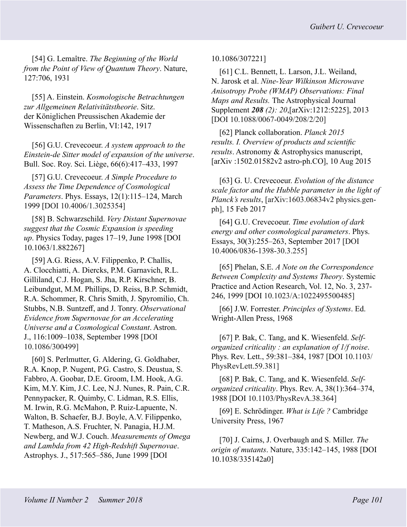[54] G. Lemaître. *The Beginning of the World from the Point of View of Quantum Theory*. Nature, 127:706, 1931

[55] A. Einstein. *Kosmologische Betrachtungen zur Allgemeinen Relativitätstheorie*. Sitz. der Königlichen Preussischen Akademie der Wissenschaften zu Berlin, VI:142, 1917

[56] G.U. Crevecoeur. *A system approach to the Einstein-de Sitter model of expansion of the universe*. Bull. Soc. Roy. Sci. Liège, 66(6):417–433, 1997

[57] G.U. Crevecoeur. *A Simple Procedure to Assess the Time Dependence of Cosmological Parameters*. Phys. Essays, 12(1):115–124, March 1999 [DOI 10.4006/1.3025354]

[58] B. Schwarzschild. *Very Distant Supernovae suggest that the Cosmic Expansion is speeding up*. Physics Today, pages 17–19, June 1998 [DOI 10.1063/1.882267]

[59] A.G. Riess, A.V. Filippenko, P. Challis, A. Clocchiatti, A. Diercks, P.M. Garnavich, R.L. Gilliland, C.J. Hogan, S. Jha, R.P. Kirschner, B. Leibundgut, M.M. Phillips, D. Reiss, B.P. Schmidt, R.A. Schommer, R. Chris Smith, J. Spyromilio, Ch. Stubbs, N.B. Suntzeff, and J. Tonry. *Observational Evidence from Supernovae for an Accelerating Universe and a Cosmological Constant*. Astron. J., 116:1009–1038, September 1998 [DOI 10.1086/300499]

[60] S. Perlmutter, G. Aldering, G. Goldhaber, R.A. Knop, P. Nugent, P.G. Castro, S. Deustua, S. Fabbro, A. Goobar, D.E. Groom, I.M. Hook, A.G. Kim, M.Y. Kim, J.C. Lee, N.J. Nunes, R. Pain, C.R. Pennypacker, R. Quimby, C. Lidman, R.S. Ellis, M. Irwin, R.G. McMahon, P. Ruiz-Lapuente, N. Walton, B. Schaefer, B.J. Boyle, A.V. Filippenko, T. Matheson, A.S. Fruchter, N. Panagia, H.J.M. Newberg, and W.J. Couch. *Measurements of Omega and Lambda from 42 High-Redshift Supernovae*. Astrophys. J., 517:565–586, June 1999 [DOI

10.1086/307221]

[61] C.L. Bennett, L. Larson, J.L. Weiland, N. Jarosk et al. *Nine-Year Wilkinson Microwave Anisotropy Probe (WMAP) Observations: Final Maps and Results.* The Astrophysical Journal Supplement *208 (2): 20*,[arXiv:1212:5225], 2013 [DOI 10.1088/0067-0049/208/2/20]

[62] Planck collaboration. *Planck 2015 results. I. Overview of products and scientific results*. Astronomy & Astrophysics manuscript, [arXiv :1502.01582v2 astro-ph.CO], 10 Aug 2015

[63] G. U. Crevecoeur. *Evolution of the distance scale factor and the Hubble parameter in the light of Planck's results*, [arXiv:1603.06834v2 physics.genph], 15 Feb 2017

[64] G.U. Crevecoeur. *Time evolution of dark energy and other cosmological parameters*. Phys. Essays, 30(3):255–263, September 2017 [DOI 10.4006/0836-1398-30.3.255]

[65] Phelan, S.E. *A Note on the Correspondence Between Complexity and Systems Theory*. Systemic Practice and Action Research, Vol. 12, No. 3, 237- 246, 1999 [DOI 10.1023/A:1022495500485]

[66] J.W. Forrester. *Principles of Systems*. Ed. Wright-Allen Press, 1968

[67] P. Bak, C. Tang, and K. Wiesenfeld. *Selforganized criticality : an explanation of 1/f noise*. Phys. Rev. Lett., 59:381–384, 1987 [DOI 10.1103/ PhysRevLett.59.381]

[68] P. Bak, C. Tang, and K. Wiesenfeld. *Selforganized criticality*. Phys. Rev. A, 38(1):364–374, 1988 [DOI 10.1103/PhysRevA.38.364]

[69] E. Schrödinger. *What is Life ?* Cambridge University Press, 1967

[70] J. Cairns, J. Overbaugh and S. Miller. *The origin of mutants*. Nature, 335:142–145, 1988 [DOI 10.1038/335142a0]